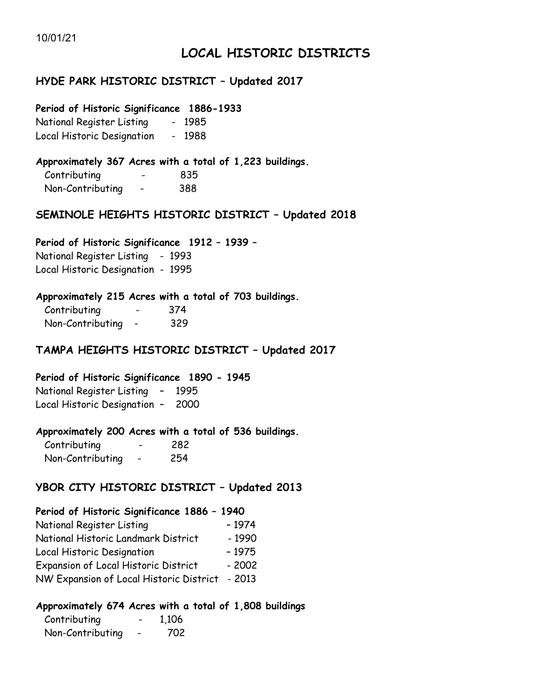# **LOCAL HISTORIC DISTRICTS**

### **HYDE PARK HISTORIC DISTRICT – Updated 2017**

#### **Period of Historic Significance 1886-1933**

National Register Listing - 1985 Local Historic Designation - 1988

### **Approximately 367 Acres with a total of 1,223 buildings.**

| Contributing     | 835 |
|------------------|-----|
| Non-Contributing | 388 |

### **SEMINOLE HEIGHTS HISTORIC DISTRICT – Updated 2018**

### **Period of Historic Significance 1912 – 1939 –**

National Register Listing - 1993 Local Historic Designation - 1995

### **Approximately 215 Acres with a total of 703 buildings.**

| Contributing     | 374 |
|------------------|-----|
| Non-Contributing | 329 |

### **TAMPA HEIGHTS HISTORIC DISTRICT – Updated 2017**

### **Period of Historic Significance 1890 - 1945**

National Register Listing – 1995 Local Historic Designation – 2000

### **Approximately 200 Acres with a total of 536 buildings.**

| Contributing     | 282  |
|------------------|------|
| Non-Contributing | -254 |

### **YBOR CITY HISTORIC DISTRICT – Updated 2013**

#### **Period of Historic Significance 1886 – 1940**

| National Register Listing               | $-1974$ |
|-----------------------------------------|---------|
| National Historic Landmark District     | $-1990$ |
| Local Historic Designation              | $-1975$ |
| Expansion of Local Historic District    | $-2002$ |
| NW Expansion of Local Historic District | - 2013  |
|                                         |         |

### **Approximately 674 Acres with a total of 1,808 buildings**

| Contributing     | 1,106 |
|------------------|-------|
| Non-Contributing | 702   |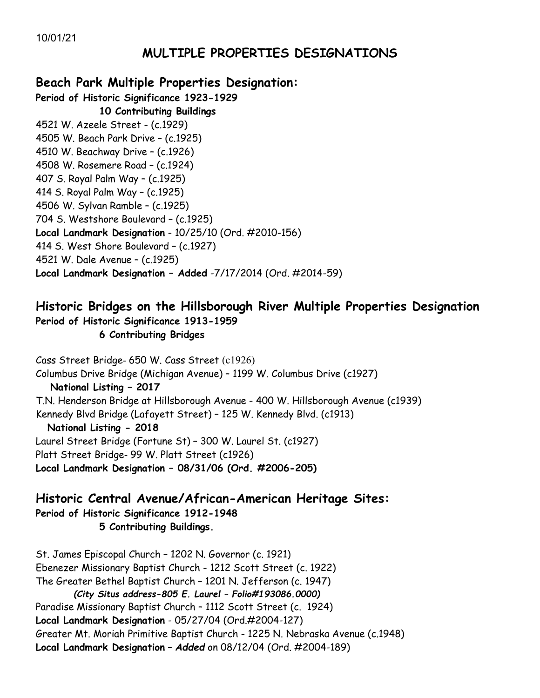# **MULTIPLE PROPERTIES DESIGNATIONS**

# **Beach Park Multiple Properties Designation:**

**Period of Historic Significance 1923-1929 10 Contributing Buildings** 4521 W. Azeele Street - (c.1929) 4505 W. Beach Park Drive – (c.1925) 4510 W. Beachway Drive – (c.1926) 4508 W. Rosemere Road – (c.1924) 407 S. Royal Palm Way – (c.1925) 414 S. Royal Palm Way – (c.1925) 4506 W. Sylvan Ramble – (c.1925) 704 S. Westshore Boulevard – (c.1925) **Local Landmark Designation** - 10/25/10 (Ord. #2010-156) 414 S. West Shore Boulevard – (c.1927) 4521 W. Dale Avenue – (c.1925) **Local Landmark Designation – Added** -7/17/2014 (Ord. #2014-59)

# **Historic Bridges on the Hillsborough River Multiple Properties Designation Period of Historic Significance 1913-1959**

### **6 Contributing Bridges**

Cass Street Bridge- 650 W. Cass Street (c1926) Columbus Drive Bridge (Michigan Avenue) – 1199 W. Columbus Drive (c1927) **National Listing – 2017** T.N. Henderson Bridge at Hillsborough Avenue - 400 W. Hillsborough Avenue (c1939) Kennedy Blvd Bridge (Lafayett Street) – 125 W. Kennedy Blvd. (c1913) **National Listing - 2018** Laurel Street Bridge (Fortune St) – 300 W. Laurel St. (c1927) Platt Street Bridge- 99 W. Platt Street (c1926) **Local Landmark Designation – 08/31/06 (Ord. #2006-205)**

**Historic Central Avenue/African-American Heritage Sites: Period of Historic Significance 1912-1948 5 Contributing Buildings.**

St. James Episcopal Church – 1202 N. Governor (c. 1921) Ebenezer Missionary Baptist Church - 1212 Scott Street (c. 1922) The Greater Bethel Baptist Church – 1201 N. Jefferson (c. 1947)  *(City Situs address-805 E. Laurel – Folio#193086.0000)* Paradise Missionary Baptist Church – 1112 Scott Street (c. 1924) **Local Landmark Designation** - 05/27/04 (Ord.#2004-127) Greater Mt. Moriah Primitive Baptist Church - 1225 N. Nebraska Avenue (c.1948) **Local Landmark Designation** – *Added* on 08/12/04 (Ord. #2004-189)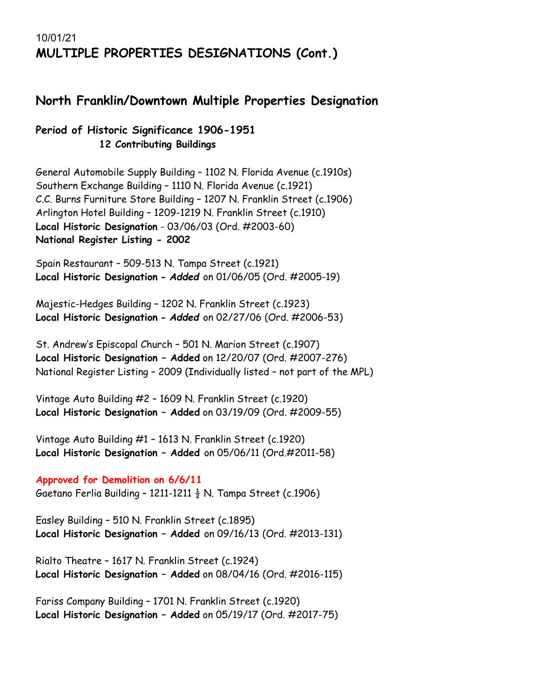# 10/01/21 **MULTIPLE PROPERTIES DESIGNATIONS (Cont.)**

## **North Franklin/Downtown Multiple Properties Designation**

### **Period of Historic Significance 1906-1951 12 Contributing Buildings**

General Automobile Supply Building – 1102 N. Florida Avenue (c.1910s) Southern Exchange Building – 1110 N. Florida Avenue (c.1921) C.C. Burns Furniture Store Building – 1207 N. Franklin Street (c.1906) Arlington Hotel Building – 1209-1219 N. Franklin Street (c.1910) **Local Historic Designation** - 03/06/03 (Ord. #2003-60) **National Register Listing - 2002**

Spain Restaurant – 509-513 N. Tampa Street (c.1921) **Local Historic Designation -** *Added* on 01/06/05 (Ord. #2005-19)

Majestic-Hedges Building – 1202 N. Franklin Street (c.1923) **Local Historic Designation -** *Added* on 02/27/06 (Ord. #2006-53)

St. Andrew's Episcopal Church – 501 N. Marion Street (c.1907) **Local Historic Designation – Added** on 12/20/07 (Ord. #2007-276) National Register Listing – 2009 (Individually listed – not part of the MPL)

Vintage Auto Building #2 – 1609 N. Franklin Street (c.1920) **Local Historic Designation – Added** on 03/19/09 (Ord. #2009-55)

Vintage Auto Building #1 – 1613 N. Franklin Street (c.1920) **Local Historic Designation – Added** on 05/06/11 (Ord.#2011-58)

**Approved for Demolition on 6/6/11** Gaetano Ferlia Building - 1211-1211  $\frac{1}{2}$  N. Tampa Street (c.1906)

Easley Building – 510 N. Franklin Street (c.1895) **Local Historic Designation – Added** on 09/16/13 (Ord. #2013-131)

Rialto Theatre – 1617 N. Franklin Street (c.1924) **Local Historic Designation – Added** on 08/04/16 (Ord. #2016-115)

Fariss Company Building – 1701 N. Franklin Street (c.1920) **Local Historic Designation – Added** on 05/19/17 (Ord. #2017-75)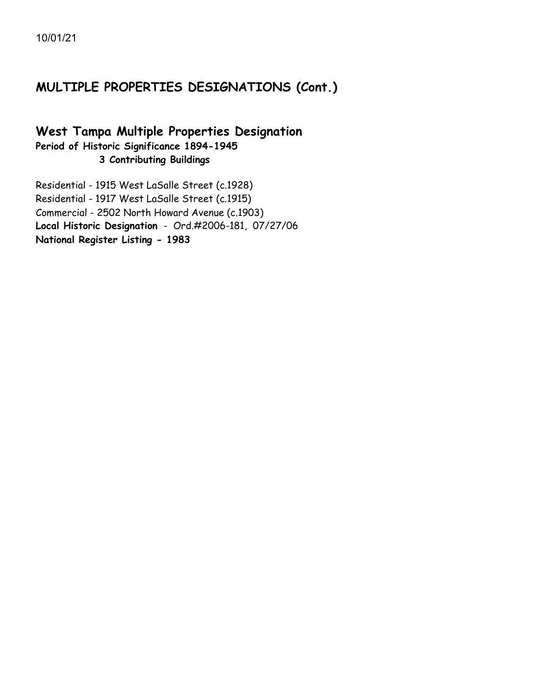# **MULTIPLE PROPERTIES DESIGNATIONS (Cont.)**

### **West Tampa Multiple Properties Designation Period of Historic Significance 1894-1945 3 Contributing Buildings**

Residential - 1915 West LaSalle Street (c.1928) Residential - 1917 West LaSalle Street (c.1915) Commercial - 2502 North Howard Avenue (c.1903) **Local Historic Designation** - Ord.#2006-181, 07/27/06 **National Register Listing - 1983**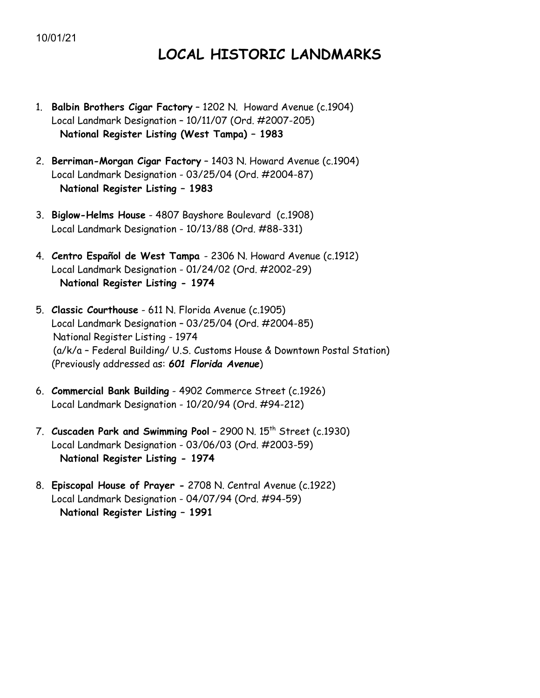# **LOCAL HISTORIC LANDMARKS**

- 1. **Balbin Brothers Cigar Factory** 1202 N. Howard Avenue (c.1904) Local Landmark Designation – 10/11/07 (Ord. #2007-205)  **National Register Listing (West Tampa) – 1983**
- 2. **Berriman-Morgan Cigar Factory** 1403 N. Howard Avenue (c.1904) Local Landmark Designation - 03/25/04 (Ord. #2004-87)  **National Register Listing – 1983**
- 3. **Biglow-Helms House** 4807 Bayshore Boulevard (c.1908) Local Landmark Designation - 10/13/88 (Ord. #88-331)
- 4. **Centro Español de West Tampa**  2306 N. Howard Avenue (c.1912) Local Landmark Designation - 01/24/02 (Ord. #2002-29)  **National Register Listing - 1974**
- 5. **Classic Courthouse** 611 N. Florida Avenue (c.1905) Local Landmark Designation – 03/25/04 (Ord. #2004-85) National Register Listing - 1974 (a/k/a – Federal Building/ U.S. Customs House & Downtown Postal Station) (Previously addressed as: *601 Florida Avenue*)
- 6. **Commercial Bank Building** 4902 Commerce Street (c.1926) Local Landmark Designation - 10/20/94 (Ord. #94-212)
- 7. **Cuscaden Park and Swimming Pool** 2900 N. 15th Street (c.1930) Local Landmark Designation - 03/06/03 (Ord. #2003-59)  **National Register Listing - 1974**
- 8. **Episcopal House of Prayer -** 2708 N. Central Avenue (c.1922) Local Landmark Designation - 04/07/94 (Ord. #94-59)  **National Register Listing – 1991**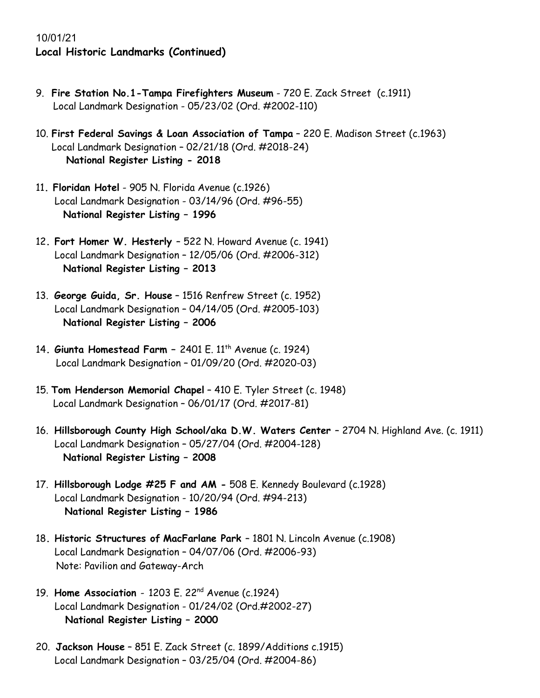- 9. **Fire Station No.1-Tampa Firefighters Museum** 720 E. Zack Street (c.1911) Local Landmark Designation - 05/23/02 (Ord. #2002-110)
- 10. **First Federal Savings & Loan Association of Tampa** 220 E. Madison Street (c.1963) Local Landmark Designation – 02/21/18 (Ord. #2018-24) **National Register Listing - 2018**
- 11**. Floridan Hotel** 905 N. Florida Avenue (c.1926) Local Landmark Designation - 03/14/96 (Ord. #96-55) **National Register Listing – 1996**
- 12**. Fort Homer W. Hesterly**  522 N. Howard Avenue (c. 1941) Local Landmark Designation – 12/05/06 (Ord. #2006-312) **National Register Listing – 2013**
- 13. **George Guida, Sr. House** 1516 Renfrew Street (c. 1952) Local Landmark Designation – 04/14/05 (Ord. #2005-103) **National Register Listing – 2006**
- 14**. Giunta Homestead Farm –** 2401 E. 11th Avenue (c. 1924) Local Landmark Designation – 01/09/20 (Ord. #2020-03)
- 15. **Tom Henderson Memorial Chapel** 410 E. Tyler Street (c. 1948) Local Landmark Designation – 06/01/17 (Ord. #2017-81)
- 16. **Hillsborough County High School/aka D.W. Waters Center** 2704 N. Highland Ave. (c. 1911) Local Landmark Designation – 05/27/04 (Ord. #2004-128) **National Register Listing – 2008**
- 17. **Hillsborough Lodge #25 F and AM -** 508 E. Kennedy Boulevard (c.1928) Local Landmark Designation - 10/20/94 (Ord. #94-213) **National Register Listing – 1986**
- 18**. Historic Structures of MacFarlane Park**  1801 N. Lincoln Avenue (c.1908) Local Landmark Designation – 04/07/06 (Ord. #2006-93) Note: Pavilion and Gateway-Arch
- 19. **Home Association** 1203 E. 22nd Avenue (c.1924) Local Landmark Designation - 01/24/02 (Ord.#2002-27)  **National Register Listing – 2000**
- 20. **Jackson House** 851 E. Zack Street (c. 1899/Additions c.1915) Local Landmark Designation – 03/25/04 (Ord. #2004-86)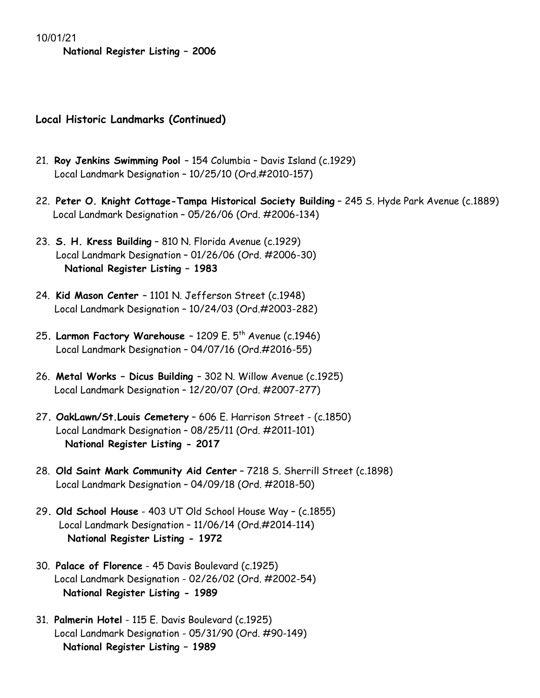**National Register Listing – 2006**

- 21. **Roy Jenkins Swimming Pool**  154 Columbia Davis Island (c.1929) Local Landmark Designation – 10/25/10 (Ord.#2010-157)
- 22. **Peter O. Knight Cottage-Tampa Historical Society Building** 245 S. Hyde Park Avenue (c.1889) Local Landmark Designation – 05/26/06 (Ord. #2006-134)
- 23. **S. H. Kress Building** 810 N. Florida Avenue (c.1929) Local Landmark Designation – 01/26/06 (Ord. #2006-30) **National Register Listing – 1983**
- 24. **Kid Mason Center**  1101 N. Jefferson Street (c.1948) Local Landmark Designation – 10/24/03 (Ord.#2003-282)
- 25**. Larmon Factory Warehouse** 1209 E. 5th Avenue (c.1946) Local Landmark Designation – 04/07/16 (Ord.#2016-55)
- 26. **Metal Works – Dicus Building**  302 N. Willow Avenue (c.1925) Local Landmark Designation – 12/20/07 (Ord. #2007-277)
- 27**. OakLawn/St.Louis Cemetery** 606 E. Harrison Street (c.1850) Local Landmark Designation – 08/25/11 (Ord. #2011-101)  **National Register Listing - 2017**
- 28. **Old Saint Mark Community Aid Center** 7218 S. Sherrill Street (c.1898) Local Landmark Designation – 04/09/18 (Ord. #2018-50)
- 29**. Old School House** 403 UT Old School House Way (c.1855) Local Landmark Designation – 11/06/14 (Ord.#2014-114) **National Register Listing - 1972**
- 30. **Palace of Florence** 45 Davis Boulevard (c.1925) Local Landmark Designation - 02/26/02 (Ord. #2002-54) **National Register Listing - 1989**
- 31. **Palmerin Hotel** 115 E. Davis Boulevard (c.1925) Local Landmark Designation - 05/31/90 (Ord. #90-149) **National Register Listing – 1989**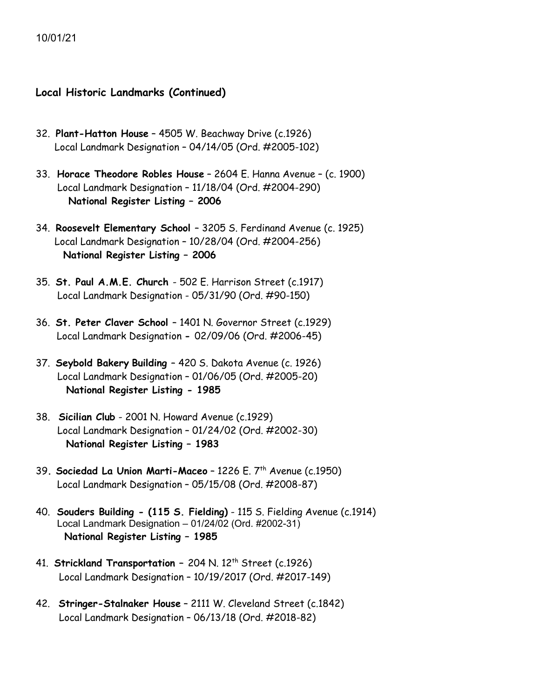- 32. **Plant-Hatton House** 4505 W. Beachway Drive (c.1926) Local Landmark Designation – 04/14/05 (Ord. #2005-102)
- 33. **Horace Theodore Robles House** 2604 E. Hanna Avenue (c. 1900) Local Landmark Designation – 11/18/04 (Ord. #2004-290)  **National Register Listing – 2006**
- 34. **Roosevelt Elementary School**  3205 S. Ferdinand Avenue (c. 1925) Local Landmark Designation – 10/28/04 (Ord. #2004-256) **National Register Listing – 2006**
- 35. **St. Paul A.M.E. Church**  502 E. Harrison Street (c.1917) Local Landmark Designation - 05/31/90 (Ord. #90-150)
- 36. **St. Peter Claver School**  1401 N. Governor Street (c.1929) Local Landmark Designation **-** 02/09/06 (Ord. #2006-45)
- 37. **Seybold Bakery Building** 420 S. Dakota Avenue (c. 1926) Local Landmark Designation – 01/06/05 (Ord. #2005-20) **National Register Listing - 1985**
- 38. **Sicilian Club** 2001 N. Howard Avenue (c.1929) Local Landmark Designation – 01/24/02 (Ord. #2002-30) **National Register Listing – 1983**
- 39**. Sociedad La Union Marti-Maceo** 1226 E. 7th Avenue (c.1950) Local Landmark Designation – 05/15/08 (Ord. #2008-87)
- 40. **Souders Building - (115 S. Fielding)** 115 S. Fielding Avenue (c.1914) Local Landmark Designation – 01/24/02 (Ord. #2002-31) **National Register Listing – 1985**
- 41. **Strickland Transportation** 204 N. 12<sup>th</sup> Street (c.1926) Local Landmark Designation – 10/19/2017 (Ord. #2017-149)
- 42. **Stringer-Stalnaker House** 2111 W. Cleveland Street (c.1842) Local Landmark Designation – 06/13/18 (Ord. #2018-82)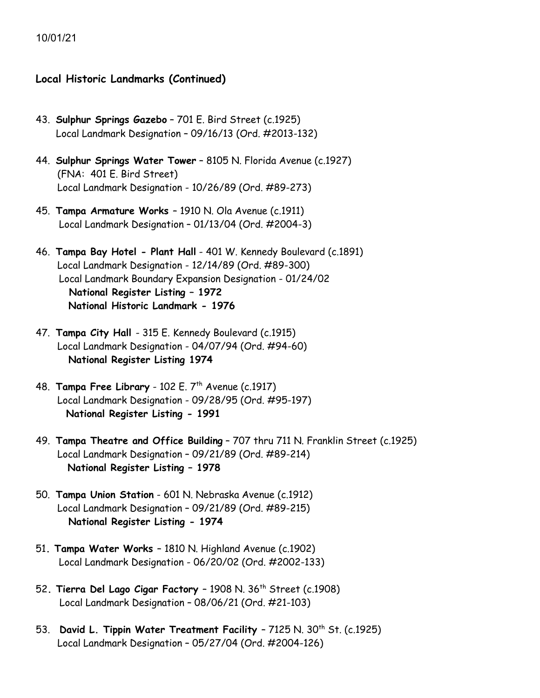- 43. **Sulphur Springs Gazebo** 701 E. Bird Street (c.1925) Local Landmark Designation – 09/16/13 (Ord. #2013-132)
- 44. **Sulphur Springs Water Tower** 8105 N. Florida Avenue (c.1927) (FNA: 401 E. Bird Street) Local Landmark Designation - 10/26/89 (Ord. #89-273)
- 45. **Tampa Armature Works**  1910 N. Ola Avenue (c.1911) Local Landmark Designation – 01/13/04 (Ord. #2004-3)
- 46. **Tampa Bay Hotel - Plant Hall** 401 W. Kennedy Boulevard (c.1891) Local Landmark Designation - 12/14/89 (Ord. #89-300) Local Landmark Boundary Expansion Designation - 01/24/02 **National Register Listing – 1972 National Historic Landmark - 1976**
- 47. **Tampa City Hall**  315 E. Kennedy Boulevard (c.1915) Local Landmark Designation - 04/07/94 (Ord. #94-60)  **National Register Listing 1974**
- 48. **Tampa Free Library** 102 E. 7<sup>th</sup> Avenue (c.1917) Local Landmark Designation - 09/28/95 (Ord. #95-197) **National Register Listing - 1991**
- 49. **Tampa Theatre and Office Building** 707 thru 711 N. Franklin Street (c.1925) Local Landmark Designation – 09/21/89 (Ord. #89-214) **National Register Listing – 1978**
- 50. **Tampa Union Station** 601 N. Nebraska Avenue (c.1912) Local Landmark Designation – 09/21/89 (Ord. #89-215)  **National Register Listing - 1974**
- 51**. Tampa Water Works**  1810 N. Highland Avenue (c.1902) Local Landmark Designation - 06/20/02 (Ord. #2002-133)
- 52**. Tierra Del Lago Cigar Factory** 1908 N. 36th Street (c.1908) Local Landmark Designation – 08/06/21 (Ord. #21-103)
- 53. **David L. Tippin Water Treatment Facility**  7125 N. 30th St. (c.1925) Local Landmark Designation – 05/27/04 (Ord. #2004-126)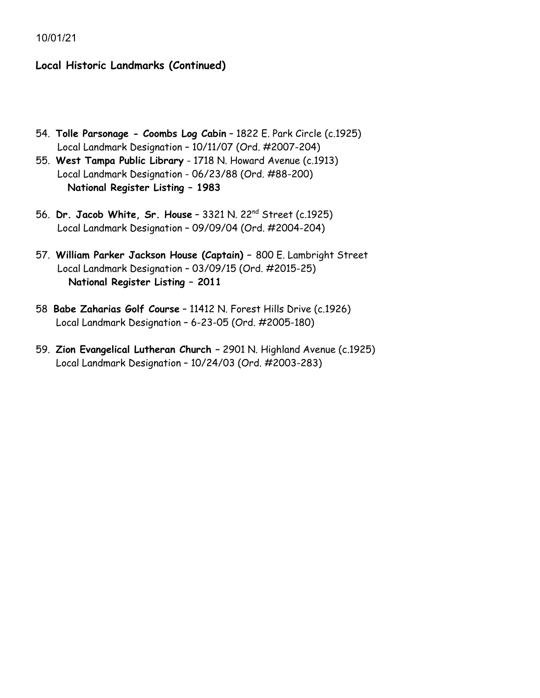- 54. **Tolle Parsonage - Coombs Log Cabin** 1822 E. Park Circle (c.1925) Local Landmark Designation – 10/11/07 (Ord. #2007-204)
- 55. **West Tampa Public Library** 1718 N. Howard Avenue (c.1913) Local Landmark Designation - 06/23/88 (Ord. #88-200) **National Register Listing – 1983**
- 56. **Dr. Jacob White, Sr. House** 3321 N. 22nd Street (c.1925) Local Landmark Designation – 09/09/04 (Ord. #2004-204)
- 57. **William Parker Jackson House (Captain) –** 800 E. Lambright Street Local Landmark Designation – 03/09/15 (Ord. #2015-25)  **National Register Listing – 2011**
- 58 **Babe Zaharias Golf Course** 11412 N. Forest Hills Drive (c.1926) Local Landmark Designation – 6-23-05 (Ord. #2005-180)
- 59. **Zion Evangelical Lutheran Church –** 2901 N. Highland Avenue (c.1925) Local Landmark Designation – 10/24/03 (Ord. #2003-283)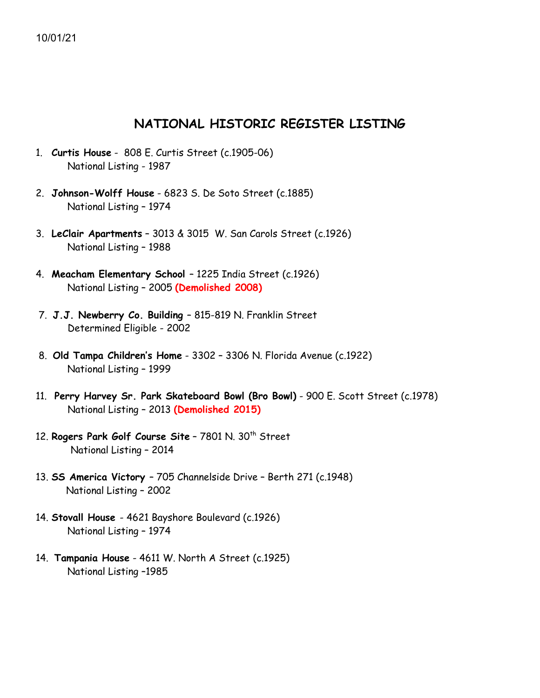### **NATIONAL HISTORIC REGISTER LISTING**

- 1. **Curtis House** 808 E. Curtis Street (c.1905-06) National Listing - 1987
- 2. **Johnson-Wolff House** 6823 S. De Soto Street (c.1885) National Listing – 1974
- 3. **LeClair Apartments** 3013 & 3015 W. San Carols Street (c.1926) National Listing – 1988
- 4. **Meacham Elementary School**  1225 India Street (c.1926) National Listing – 2005 **(Demolished 2008)**
- 7. **J.J. Newberry Co. Building**  815-819 N. Franklin Street Determined Eligible - 2002
- 8. **Old Tampa Children's Home** 3302 3306 N. Florida Avenue (c.1922) National Listing – 1999
- 11. **Perry Harvey Sr. Park Skateboard Bowl (Bro Bowl)** 900 E. Scott Street (c.1978) National Listing – 2013 **(Demolished 2015)**
- 12. Rogers Park Golf Course Site 7801 N. 30<sup>th</sup> Street National Listing – 2014
- 13. **SS America Victory**  705 Channelside Drive Berth 271 (c.1948) National Listing – 2002
- 14. **Stovall House**  4621 Bayshore Boulevard (c.1926) National Listing – 1974
- 14. **Tampania House** 4611 W. North A Street (c.1925) National Listing –1985